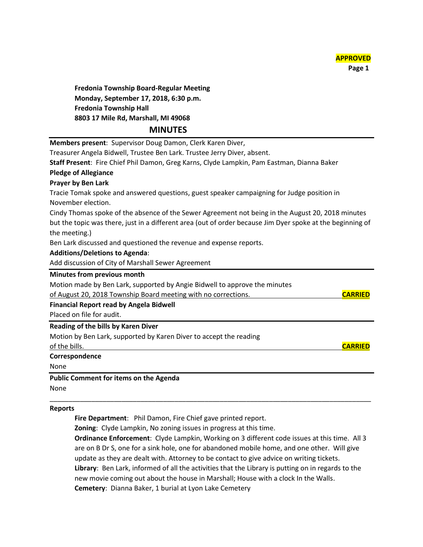

## **Reports**

**Fire Department**: Phil Damon, Fire Chief gave printed report.

**Zoning**: Clyde Lampkin, No zoning issues in progress at this time.

**Ordinance Enforcement**: Clyde Lampkin, Working on 3 different code issues at this time. All 3 are on B Dr S, one for a sink hole, one for abandoned mobile home, and one other. Will give update as they are dealt with. Attorney to be contact to give advice on writing tickets. **Library**: Ben Lark, informed of all the activities that the Library is putting on in regards to the new movie coming out about the house in Marshall; House with a clock In the Walls. **Cemetery**: Dianna Baker, 1 burial at Lyon Lake Cemetery